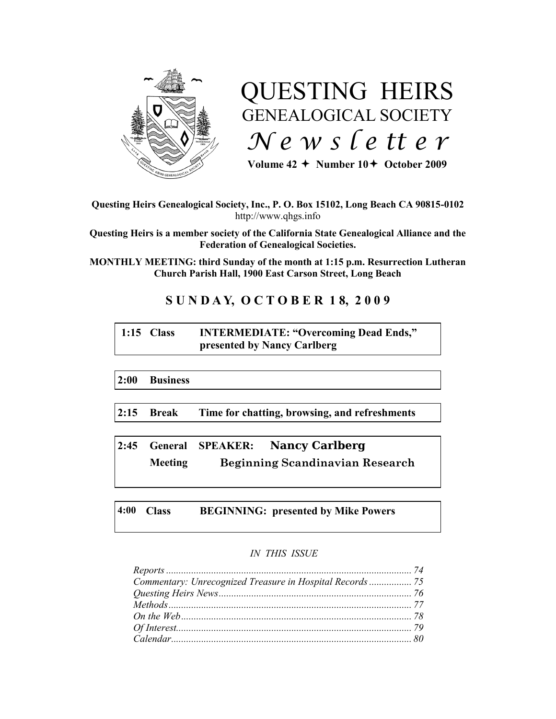

# QUESTING HEIRS GENEALOGICAL SOCIETY *N e w s l e tt e r*

Volume  $42 +$  Number  $10 +$  October 2009

**Questing Heirs Genealogical Society, Inc., P. O. Box 15102, Long Beach CA 90815-0102** http://www.qhgs.info

**Questing Heirs is a member society of the California State Genealogical Alliance and the Federation of Genealogical Societies.**

**MONTHLY MEETING: third Sunday of the month at 1:15 p.m. Resurrection Lutheran Church Parish Hall, 1900 East Carson Street, Long Beach** 

# **S U N D A Y, O C T O B E R 1 8, 2 0 0 9**

# **1:15 Class INTERMEDIATE: "Overcoming Dead Ends," presented by Nancy Carlberg**

**2:00 Business**

**2:15 Break Time for chatting, browsing, and refreshments**

**2:45 General SPEAKER: Nancy Carlberg Meeting Beginning Scandinavian Research**

**4:00 Class BEGINNING: presented by Mike Powers**

# *IN THIS ISSUE*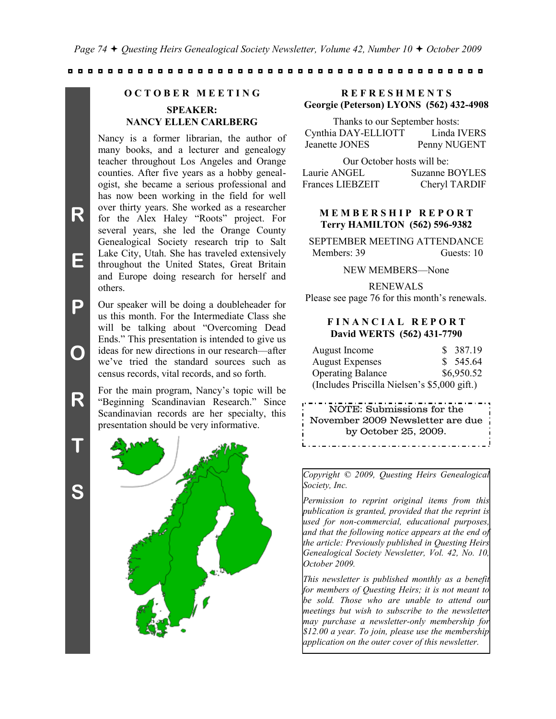*Page 74 Questing Heirs Genealogical Society Newsletter, Volume 42, Number 10 October 2009*

◘ ◘ ◘ ◘ ◘ ◘ ◘ ◘ ◘ ◘ ◘ ◘ ◘ ◘ ◘ ◘ ◘ ◘ ◘ ◘ ◘ ◘ ◘ ◘ ◘ ◘ ◘ ◘ ◘ ◘ ◘ ◘ ◘ ◘ ◘ ◘ ◘ ◘ ◘ ◘ ◘ ◘

## **O C T O B E R M E E T I N G**

## **SPEAKER: NANCY ELLEN CARLBERG**

Nancy is a former librarian, the author of many books, and a lecturer and genealogy teacher throughout Los Angeles and Orange counties. After five years as a hobby genealogist, she became a serious professional and has now been working in the field for well over thirty years. She worked as a researcher for the Alex Haley "Roots" project. For several years, she led the Orange County Genealogical Society research trip to Salt Lake City, Utah. She has traveled extensively throughout the United States, Great Britain and Europe doing research for herself and others.

**P O** Our speaker will be doing a doubleheader for us this month. For the Intermediate Class she will be talking about "Overcoming Dead Ends." This presentation is intended to give us ideas for new directions in our research—after we've tried the standard sources such as census records, vital records, and so forth.

> For the main program, Nancy's topic will be "Beginning Scandinavian Research." Since Scandinavian records are her specialty, this presentation should be very informative.

**S**

**T**

**R**

**R**

**E**



## **R E F R E S H M E N T S Georgie (Peterson) LYONS (562) 432-4908**

Thanks to our September hosts: Cynthia DAY-ELLIOTT Linda IVERS Jeanette JONES Penny NUGENT

Our October hosts will be: Laurie ANGEL Suzanne BOYLES Frances LIEBZEIT Cheryl TARDIF

#### **M E M B E R S H I P R E P O R T Terry HAMILTON (562) 596-9382**

SEPTEMBER MEETING ATTENDANCE Members: 39 Guests: 10

NEW MEMBERS—None

RENEWALS Please see page 76 for this month's renewals.

#### **F I N A N C I A L R E P O R T David WERTS (562) 431-7790**

| August Income                                | \$387.19   |
|----------------------------------------------|------------|
| <b>August Expenses</b>                       | \$545.64   |
| <b>Operating Balance</b>                     | \$6,950.52 |
| (Includes Priscilla Nielsen's \$5,000 gift.) |            |

NOTE: Submissions for the November 2009 Newsletter are due by October 25, 2009.\_.\_.\_.\_.\_.\_.\_.\_.\_.\_.\_.\_.\_.

*Copyright © 2009, Questing Heirs Genealogical Society, Inc.*

*Permission to reprint original items from this publication is granted, provided that the reprint is used for non-commercial, educational purposes, and that the following notice appears at the end of the article: Previously published in Questing Heirs Genealogical Society Newsletter, Vol. 42, No. 10, October 2009.*

*This newsletter is published monthly as a benefit for members of Questing Heirs; it is not meant to be sold. Those who are unable to attend our meetings but wish to subscribe to the newsletter may purchase a newsletter-only membership for \$12.00 a year. To join, please use the membership application on the outer cover of this newsletter.*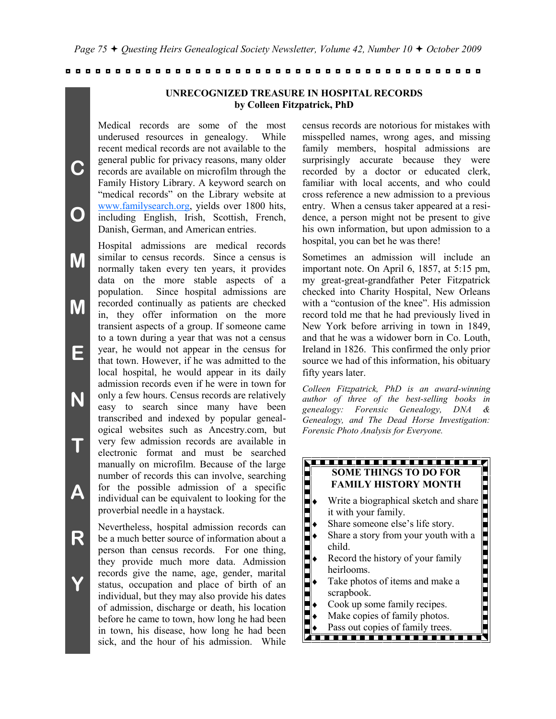## **UNRECOGNIZED TREASURE IN HOSPITAL RECORDS by Colleen Fitzpatrick, PhD**

Medical records are some of the most underused resources in genealogy. While recent medical records are not available to the general public for privacy reasons, many older records are available on microfilm through the Family History Library. A keyword search on "medical records" on the Library website at [www.familysearch.org,](http://www.familysearch.org/) yields over 1800 hits, including English, Irish, Scottish, French, Danish, German, and American entries.

**C**

**O**

**M**

**M**

**E**

**N**

**T**

**A**

**R**

**Y**

Hospital admissions are medical records similar to census records. Since a census is normally taken every ten years, it provides data on the more stable aspects of a population. Since hospital admissions are recorded continually as patients are checked in, they offer information on the more transient aspects of a group. If someone came to a town during a year that was not a census year, he would not appear in the census for that town. However, if he was admitted to the local hospital, he would appear in its daily admission records even if he were in town for only a few hours. Census records are relatively easy to search since many have been transcribed and indexed by popular genealogical websites such as Ancestry.com, but very few admission records are available in electronic format and must be searched manually on microfilm. Because of the large number of records this can involve, searching for the possible admission of a specific individual can be equivalent to looking for the proverbial needle in a haystack.

Nevertheless, hospital admission records can be a much better source of information about a person than census records. For one thing, they provide much more data. Admission records give the name, age, gender, marital status, occupation and place of birth of an individual, but they may also provide his dates of admission, discharge or death, his location before he came to town, how long he had been in town, his disease, how long he had been sick, and the hour of his admission. While census records are notorious for mistakes with misspelled names, wrong ages, and missing family members, hospital admissions are surprisingly accurate because they were recorded by a doctor or educated clerk, familiar with local accents, and who could cross reference a new admission to a previous entry. When a census taker appeared at a residence, a person might not be present to give his own information, but upon admission to a hospital, you can bet he was there!

Sometimes an admission will include an important note. On April 6, 1857, at 5:15 pm, my great-great-grandfather Peter Fitzpatrick checked into Charity Hospital, New Orleans with a "contusion of the knee". His admission record told me that he had previously lived in New York before arriving in town in 1849, and that he was a widower born in Co. Louth, Ireland in 1826. This confirmed the only prior source we had of this information, his obituary fifty years later.

*Colleen Fitzpatrick, PhD is an award-winning author of three of the best-selling books in genealogy: Forensic Genealogy, DNA & Genealogy, and The Dead Horse Investigation: Forensic Photo Analysis for Everyone.*

## <u>ya an an an an an an an an an a</u> **SOME THINGS TO DO FOR FAMILY HISTORY MONTH**

- Write a biographical sketch and share it with your family.
	- Share someone else's life story.
	- Share a story from your youth with a child.
	- Record the history of your family heirlooms.
	- Take photos of items and make a scrapbook.
- Cook up some family recipes.
- Make copies of family photos.
- Pass out copies of family trees.
- <u> 1989 Paris Paris II de Americano de la provincia de la provincia de la provincia de la provincia de la prov</u>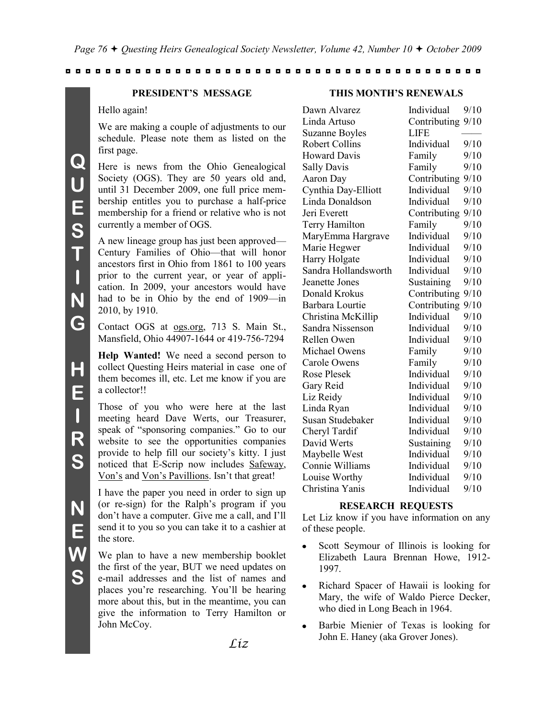## **PRESIDENT'S MESSAGE**

Hello again!

We are making a couple of adjustments to our schedule. Please note them as listed on the first page.

Here is news from the Ohio Genealogical Society (OGS). They are 50 years old and, until 31 December 2009, one full price membership entitles you to purchase a half-price membership for a friend or relative who is not currently a member of OGS.

A new lineage group has just been approved— Century Families of Ohio—that will honor ancestors first in Ohio from 1861 to 100 years prior to the current year, or year of application. In 2009, your ancestors would have had to be in Ohio by the end of 1909—in 2010, by 1910.

Contact OGS at ogs.org, 713 S. Main St., Mansfield, Ohio 44907-1644 or 419-756-7294

**Help Wanted!** We need a second person to collect Questing Heirs material in case one of them becomes ill, etc. Let me know if you are a collector!!

Those of you who were here at the last meeting heard Dave Werts, our Treasurer, speak of "sponsoring companies." Go to our website to see the opportunities companies provide to help fill our society's kitty. I just noticed that E-Scrip now includes Safeway, Von's and Von's Pavillions. Isn't that great!

I have the paper you need in order to sign up (or re-sign) for the Ralph's program if you don't have a computer. Give me a call, and I'll send it to you so you can take it to a cashier at the store.

We plan to have a new membership booklet the first of the year, BUT we need updates on e-mail addresses and the list of names and places you're researching. You'll be hearing more about this, but in the meantime, you can give the information to Terry Hamilton or John McCoy.

## **THIS MONTH'S RENEWALS**

| Dawn Alvarez          | Individual        | 9/10 |
|-----------------------|-------------------|------|
| Linda Artuso          | Contributing 9/10 |      |
| <b>Suzanne Boyles</b> | <b>LIFE</b>       |      |
| <b>Robert Collins</b> | Individual        | 9/10 |
| <b>Howard Davis</b>   | Family            | 9/10 |
| <b>Sally Davis</b>    | Family            | 9/10 |
| Aaron Day             | Contributing      | 9/10 |
| Cynthia Day-Elliott   | Individual        | 9/10 |
| Linda Donaldson       | Individual        | 9/10 |
| Jeri Everett          | Contributing      | 9/10 |
| Terry Hamilton        | Family            | 9/10 |
| MaryEmma Hargrave     | Individual        | 9/10 |
| Marie Hegwer          | Individual        | 9/10 |
| Harry Holgate         | Individual        | 9/10 |
| Sandra Hollandsworth  | Individual        | 9/10 |
| Jeanette Jones        | Sustaining        | 9/10 |
| Donald Krokus         | Contributing      | 9/10 |
| Barbara Lourtie       | Contributing      | 9/10 |
| Christina McKillip    | Individual        | 9/10 |
| Sandra Nissenson      | Individual        | 9/10 |
| Rellen Owen           | Individual        | 9/10 |
| Michael Owens         | Family            | 9/10 |
| <b>Carole Owens</b>   | Family            | 9/10 |
| <b>Rose Plesek</b>    | Individual        | 9/10 |
| Gary Reid             | Individual        | 9/10 |
| Liz Reidy             | Individual        | 9/10 |
| Linda Ryan            | Individual        | 9/10 |
| Susan Studebaker      | Individual        | 9/10 |
| Cheryl Tardif         | Individual        | 9/10 |
| David Werts           | Sustaining        | 9/10 |
| Maybelle West         | Individual        | 9/10 |
| Connie Williams       | Individual        | 9/10 |
| Louise Worthy         | Individual        | 9/10 |
| Christina Yanis       | Individual        | 9/10 |

#### **RESEARCH REQUESTS**

Let Liz know if you have information on any of these people.

- Scott Seymour of Illinois is looking for Elizabeth Laura Brennan Howe, 1912- 1997.
- Richard Spacer of Hawaii is looking for Mary, the wife of Waldo Pierce Decker, who died in Long Beach in 1964.
- Barbie Mienier of Texas is looking for John E. Haney (aka Grover Jones).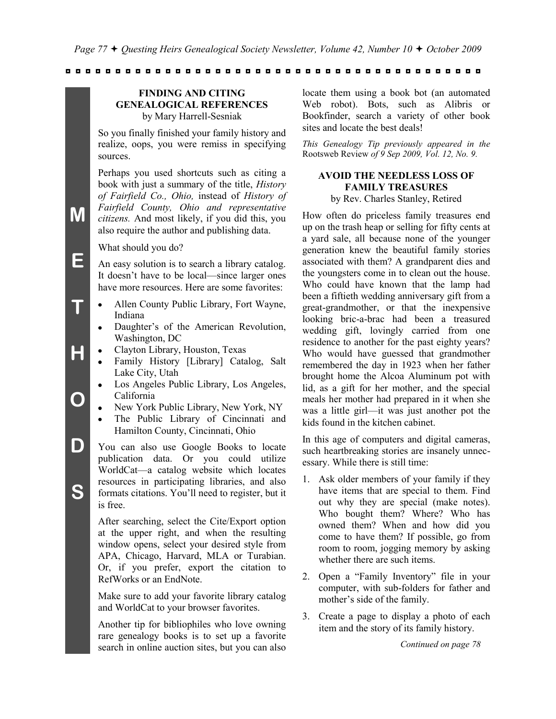#### **FINDING AND CITING GENEALOGICAL REFERENCES** by Mary Harrell-Sesniak

So you finally finished your family history and realize, oops, you were remiss in specifying sources.

Perhaps you used shortcuts such as citing a book with just a summary of the title, *History of Fairfield Co., Ohio,* instead of *History of Fairfield County, Ohio and representative citizens.* And most likely, if you did this, you also require the author and publishing data.

What should you do?

**M**

**E**

**T**

**H**

**O**

**D**

**S**

An easy solution is to search a library catalog. It doesn't have to be local—since larger ones have more resources. Here are some favorites:

- Allen County Public Library, Fort Wayne, Indiana
- Daughter's of the American Revolution,  $\bullet$ Washington, DC
- Clayton Library, Houston, Texas
- Family History [Library] Catalog, Salt Lake City, Utah
- Los Angeles Public Library, Los Angeles,  $\bullet$ California
- New York Public Library, New York, NY
- The Public Library of Cincinnati and  $\bullet$ Hamilton County, Cincinnati, Ohio
- You can also use Google Books to locate publication data. Or you could utilize WorldCat—a catalog website which locates resources in participating libraries, and also formats citations. You'll need to register, but it is free.

After searching, select the Cite/Export option at the upper right, and when the resulting window opens, select your desired style from APA, Chicago, Harvard, MLA or Turabian. Or, if you prefer, export the citation to RefWorks or an EndNote.

Make sure to add your favorite library catalog and WorldCat to your browser favorites.

Another tip for bibliophiles who love owning rare genealogy books is to set up a favorite search in online auction sites, but you can also

locate them using a book bot (an automated Web robot). Bots, such as Alibris or Bookfinder, search a variety of other book sites and locate the best deals!

*This Genealogy Tip previously appeared in the*  Rootsweb Review *of 9 Sep 2009, Vol. 12, No. 9.*

# **AVOID THE NEEDLESS LOSS OF FAMILY TREASURES**

by Rev. Charles Stanley, Retired

How often do priceless family treasures end up on the trash heap or selling for fifty cents at a yard sale, all because none of the younger generation knew the beautiful family stories associated with them? A grandparent dies and the youngsters come in to clean out the house. Who could have known that the lamp had been a fiftieth wedding anniversary gift from a great-grandmother, or that the inexpensive looking bric-a-brac had been a treasured wedding gift, lovingly carried from one residence to another for the past eighty years? Who would have guessed that grandmother remembered the day in 1923 when her father brought home the Alcoa Aluminum pot with lid, as a gift for her mother, and the special meals her mother had prepared in it when she was a little girl—it was just another pot the kids found in the kitchen cabinet.

In this age of computers and digital cameras, such heartbreaking stories are insanely unnecessary. While there is still time:

- 1. Ask older members of your family if they have items that are special to them. Find out why they are special (make notes). Who bought them? Where? Who has owned them? When and how did you come to have them? If possible, go from room to room, jogging memory by asking whether there are such items.
- 2. Open a "Family Inventory" file in your computer, with sub-folders for father and mother's side of the family.
- 3. Create a page to display a photo of each item and the story of its family history.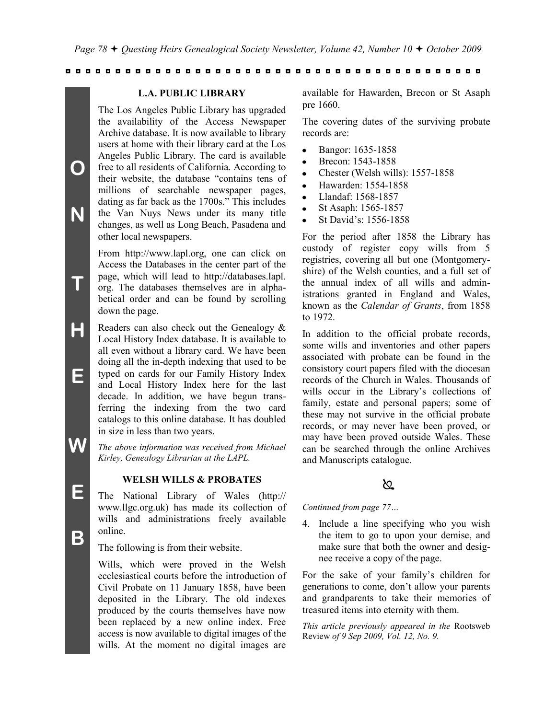#### **L.A. PUBLIC LIBRARY**

The Los Angeles Public Library has upgraded the availability of the Access Newspaper Archive database. It is now available to library users at home with their library card at the Los Angeles Public Library. The card is available free to all residents of California. According to their website, the database "contains tens of millions of searchable newspaper pages, dating as far back as the 1700s." This includes the Van Nuys News under its many title changes, as well as Long Beach, Pasadena and other local newspapers.

From http://www.lapl.org, one can click on Access the Databases in the center part of the page, which will lead to http://databases.lapl. org. The databases themselves are in alphabetical order and can be found by scrolling down the page.

- **H E** Readers can also check out the Genealogy & Local History Index database. It is available to all even without a library card. We have been doing all the in-depth indexing that used to be typed on cards for our Family History Index and Local History Index here for the last decade. In addition, we have begun transferring the indexing from the two card catalogs to this online database. It has doubled in size in less than two years.
	- *The above information was received from Michael Kirley, Genealogy Librarian at the LAPL.*

#### **WELSH WILLS & PROBATES**

The National Library of Wales (http:// www.llgc.org.uk) has made its collection of wills and administrations freely available online.

The following is from their website.

Wills, which were proved in the Welsh ecclesiastical courts before the introduction of Civil Probate on 11 January 1858, have been deposited in the Library. The old indexes produced by the courts themselves have now been replaced by a new online index. Free access is now available to digital images of the wills. At the moment no digital images are

available for Hawarden, Brecon or St Asaph pre 1660.

The covering dates of the surviving probate records are:

- Bangor: 1635-1858
- Brecon: 1543-1858
- Chester (Welsh wills): 1557-1858
- Hawarden: 1554-1858
- Llandaf: 1568-1857  $\bullet$
- St Asaph: 1565-1857
- St David's: 1556-1858

For the period after 1858 the Library has custody of register copy wills from 5 registries, covering all but one (Montgomeryshire) of the Welsh counties, and a full set of the annual index of all wills and administrations granted in England and Wales, known as the *Calendar of Grants*, from 1858 to 1972.

In addition to the official probate records, some wills and inventories and other papers associated with probate can be found in the consistory court papers filed with the diocesan records of the Church in Wales. Thousands of wills occur in the Library's collections of family, estate and personal papers; some of these may not survive in the official probate records, or may never have been proved, or may have been proved outside Wales. These can be searched through the online Archives and Manuscripts catalogue.

# <u>ನಿ</u>

*Continued from page 77…*

4. Include a line specifying who you wish the item to go to upon your demise, and make sure that both the owner and designee receive a copy of the page.

For the sake of your family's children for generations to come, don't allow your parents and grandparents to take their memories of treasured items into eternity with them.

*This article previously appeared in the* Rootsweb Review *of 9 Sep 2009, Vol. 12, No. 9.*

**E**

**W**

**O**

**N**

**T**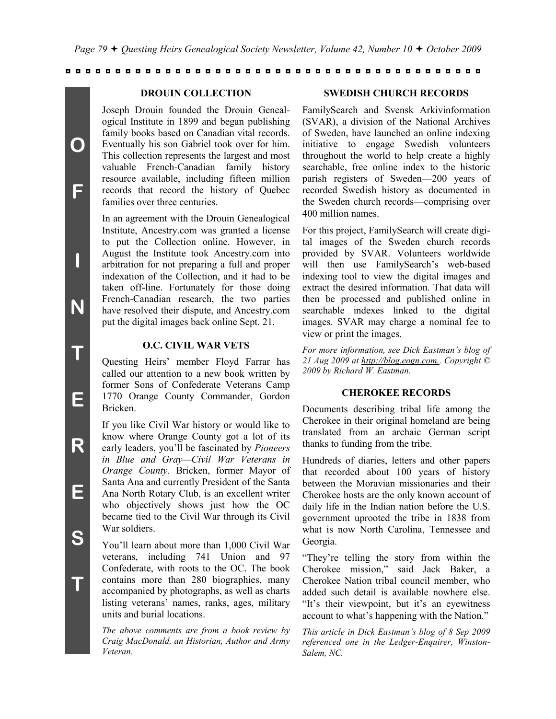#### **DROUIN COLLECTION**

Joseph Drouin founded the Drouin Genealogical Institute in 1899 and began publishing family books based on Canadian vital records. Eventually his son Gabriel took over for him. This collection represents the largest and most valuable French-Canadian family history resource available, including fifteen million records that record the history of Quebec families over three centuries.

In an agreement with the Drouin Genealogical Institute, Ancestry.com was granted a license to put the Collection online. However, in August the Institute took Ancestry.com into arbitration for not preparing a full and proper indexation of the Collection, and it had to be taken off-line. Fortunately for those doing French-Canadian research, the two parties have resolved their dispute, and Ancestry.com put the digital images back online Sept. 21.

## **O.C. CIVIL WAR VETS**

Questing Heirs' member Floyd Farrar has called our attention to a new book written by former Sons of Confederate Veterans Camp 1770 Orange County Commander, Gordon Bricken.

If you like Civil War history or would like to know where Orange County got a lot of its early leaders, you'll be fascinated by *Pioneers in Blue and Gray—Civil War Veterans in Orange County.* Bricken, former Mayor of Santa Ana and currently President of the Santa Ana North Rotary Club, is an excellent writer who objectively shows just how the OC became tied to the Civil War through its Civil War soldiers.

You'll learn about more than 1,000 Civil War veterans, including 741 Union and 97 Confederate, with roots to the OC. The book contains more than 280 biographies, many accompanied by photographs, as well as charts listing veterans' names, ranks, ages, military units and burial locations.

*The above comments are from a book review by Craig MacDonald, an Historian, Author and Army Veteran.*

#### **SWEDISH CHURCH RECORDS**

FamilySearch and Svensk Arkivinformation (SVAR), a division of the National Archives of Sweden, have launched an online indexing initiative to engage Swedish volunteers throughout the world to help create a highly searchable, free online index to the historic parish registers of Sweden—200 years of recorded Swedish history as documented in the Sweden church records—comprising over 400 million names.

For this project, FamilySearch will create digital images of the Sweden church records provided by SVAR. Volunteers worldwide will then use FamilySearch's web-based indexing tool to view the digital images and extract the desired information. That data will then be processed and published online in searchable indexes linked to the digital images. SVAR may charge a nominal fee to view or print the images.

*For more information, see Dick Eastman's blog of 21 Aug 2009 at http://blog.eogn.com.. Copyright © 2009 by Richard W. Eastman.*

#### **CHEROKEE RECORDS**

Documents describing tribal life among the Cherokee in their original homeland are being translated from an archaic German script thanks to funding from the tribe.

Hundreds of diaries, letters and other papers that recorded about 100 years of history between the Moravian missionaries and their Cherokee hosts are the only known account of daily life in the Indian nation before the U.S. government uprooted the tribe in 1838 from what is now North Carolina, Tennessee and Georgia.

"They're telling the story from within the Cherokee mission," said Jack Baker, a Cherokee Nation tribal council member, who added such detail is available nowhere else. "It's their viewpoint, but it's an eyewitness account to what's happening with the Nation."

*This article in Dick Eastman's blog of 8 Sep 2009 referenced one in the Ledger-Enquirer, Winston-Salem, NC.*